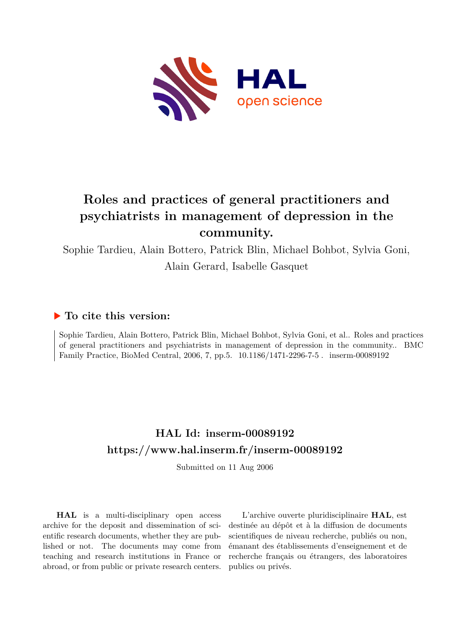

# **Roles and practices of general practitioners and psychiatrists in management of depression in the community.**

Sophie Tardieu, Alain Bottero, Patrick Blin, Michael Bohbot, Sylvia Goni, Alain Gerard, Isabelle Gasquet

## **To cite this version:**

Sophie Tardieu, Alain Bottero, Patrick Blin, Michael Bohbot, Sylvia Goni, et al.. Roles and practices of general practitioners and psychiatrists in management of depression in the community.. BMC Family Practice, BioMed Central, 2006, 7, pp.5.  $10.1186/1471-2296-7-5$ . inserm-00089192

# **HAL Id: inserm-00089192 <https://www.hal.inserm.fr/inserm-00089192>**

Submitted on 11 Aug 2006

**HAL** is a multi-disciplinary open access archive for the deposit and dissemination of scientific research documents, whether they are published or not. The documents may come from teaching and research institutions in France or abroad, or from public or private research centers.

L'archive ouverte pluridisciplinaire **HAL**, est destinée au dépôt et à la diffusion de documents scientifiques de niveau recherche, publiés ou non, émanant des établissements d'enseignement et de recherche français ou étrangers, des laboratoires publics ou privés.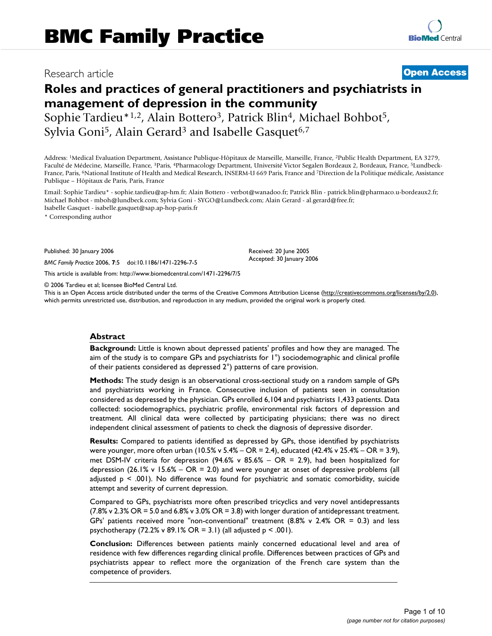## Research article **Contract Contract Contract Contract Contract Contract Contract Contract Contract Contract Contract Contract Contract Contract Contract Contract Contract Contract Contract Contract Contract Contract Contra**

## **Roles and practices of general practitioners and psychiatrists in management of depression in the community** Sophie Tardieu\*<sup>1,2</sup>, Alain Bottero<sup>3</sup>, Patrick Blin<sup>4</sup>, Michael Bohbot<sup>5</sup>, Sylvia Goni<sup>5</sup>, Alain Gerard<sup>3</sup> and Isabelle Gasquet<sup>6,7</sup>

Address: <sup>1</sup>Medical Evaluation Department, Assistance Publique-Hôpitaux de Marseille, Marseille, France, <sup>2</sup>Public Health Department, EA 3279, Faculté de Médecine, Marseille, France, 3Paris, 4Pharmacology Department, Université Victor Segalen Bordeaux 2, Bordeaux, France, 5Lundbeck-France, Paris, <sup>6</sup>National Institute of Health and Medical Research, INSERM-U 669 Paris, France and <sup>7</sup>Direction de la Politique médicale, Assistance Publique – Hôpitaux de Paris, Paris, France

Email: Sophie Tardieu\* - sophie.tardieu@ap-hm.fr; Alain Bottero - verbot@wanadoo.fr; Patrick Blin - patrick.blin@pharmaco.u-bordeaux2.fr; Michael Bohbot - mboh@lundbeck.com; Sylvia Goni - SYGO@Lundbeck.com; Alain Gerard - al.gerard@free.fr; Isabelle Gasquet - isabelle.gasquet@sap.ap-hop-paris.fr

\* Corresponding author

Published: 30 January 2006

*BMC Family Practice* 2006, **7**:5 doi:10.1186/1471-2296-7-5

[This article is available from: http://www.biomedcentral.com/1471-2296/7/5](http://www.biomedcentral.com/1471-2296/7/5)

© 2006 Tardieu et al; licensee BioMed Central Ltd.

This is an Open Access article distributed under the terms of the Creative Commons Attribution License [\(http://creativecommons.org/licenses/by/2.0\)](http://creativecommons.org/licenses/by/2.0), which permits unrestricted use, distribution, and reproduction in any medium, provided the original work is properly cited.

Received: 20 June 2005 Accepted: 30 January 2006

#### **Abstract**

**Background:** Little is known about depressed patients' profiles and how they are managed. The aim of the study is to compare GPs and psychiatrists for 1°) sociodemographic and clinical profile of their patients considered as depressed 2°) patterns of care provision.

**Methods:** The study design is an observational cross-sectional study on a random sample of GPs and psychiatrists working in France. Consecutive inclusion of patients seen in consultation considered as depressed by the physician. GPs enrolled 6,104 and psychiatrists 1,433 patients. Data collected: sociodemographics, psychiatric profile, environmental risk factors of depression and treatment. All clinical data were collected by participating physicians; there was no direct independent clinical assessment of patients to check the diagnosis of depressive disorder.

**Results:** Compared to patients identified as depressed by GPs, those identified by psychiatrists were younger, more often urban (10.5% v 5.4% – OR = 2.4), educated (42.4% v 25.4% – OR = 3.9), met DSM-IV criteria for depression (94.6% v 85.6% – OR = 2.9), had been hospitalized for depression (26.1% v 15.6% – OR = 2.0) and were younger at onset of depressive problems (all adjusted  $p \le .001$ ). No difference was found for psychiatric and somatic comorbidity, suicide attempt and severity of current depression.

Compared to GPs, psychiatrists more often prescribed tricyclics and very novel antidepressants (7.8% v 2.3% OR = 5.0 and 6.8% v 3.0% OR = 3.8) with longer duration of antidepressant treatment. GPs' patients received more "non-conventional" treatment  $(8.8\% \vee 2.4\% \nOR = 0.3)$  and less psychotherapy (72.2% v 89.1% OR = 3.1) (all adjusted  $p < .001$ ).

**Conclusion:** Differences between patients mainly concerned educational level and area of residence with few differences regarding clinical profile. Differences between practices of GPs and psychiatrists appear to reflect more the organization of the French care system than the competence of providers.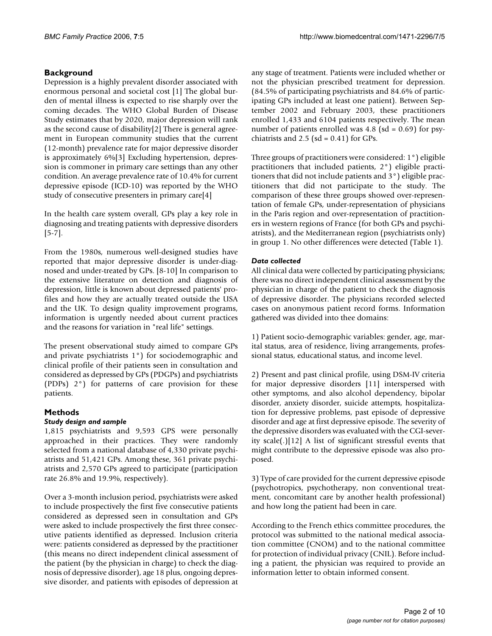## **Background**

Depression is a highly prevalent disorder associated with enormous personal and societal cost [1] The global burden of mental illness is expected to rise sharply over the coming decades. The WHO Global Burden of Disease Study estimates that by 2020, major depression will rank as the second cause of disability[2] There is general agreement in European community studies that the current (12-month) prevalence rate for major depressive disorder is approximately 6%[3] Excluding hypertension, depression is commoner in primary care settings than any other condition. An average prevalence rate of 10.4% for current depressive episode (ICD-10) was reported by the WHO study of consecutive presenters in primary care[4]

In the health care system overall, GPs play a key role in diagnosing and treating patients with depressive disorders [5-7].

From the 1980s, numerous well-designed studies have reported that major depressive disorder is under-diagnosed and under-treated by GPs. [8-10] In comparison to the extensive literature on detection and diagnosis of depression, little is known about depressed patients' profiles and how they are actually treated outside the USA and the UK. To design quality improvement programs, information is urgently needed about current practices and the reasons for variation in "real life" settings.

The present observational study aimed to compare GPs and private psychiatrists 1°) for sociodemographic and clinical profile of their patients seen in consultation and considered as depressed by GPs (PDGPs) and psychiatrists (PDPs) 2°) for patterns of care provision for these patients.

## **Methods**

## *Study design and sample*

1,815 psychiatrists and 9,593 GPS were personally approached in their practices. They were randomly selected from a national database of 4,330 private psychiatrists and 51,421 GPs. Among these, 361 private psychiatrists and 2,570 GPs agreed to participate (participation rate 26.8% and 19.9%, respectively).

Over a 3-month inclusion period, psychiatrists were asked to include prospectively the first five consecutive patients considered as depressed seen in consultation and GPs were asked to include prospectively the first three consecutive patients identified as depressed. Inclusion criteria were: patients considered as depressed by the practitioner (this means no direct independent clinical assessment of the patient (by the physician in charge) to check the diagnosis of depressive disorder), age 18 plus, ongoing depressive disorder, and patients with episodes of depression at any stage of treatment. Patients were included whether or not the physician prescribed treatment for depression. (84.5% of participating psychiatrists and 84.6% of participating GPs included at least one patient). Between September 2002 and February 2003, these practitioners enrolled 1,433 and 6104 patients respectively. The mean number of patients enrolled was  $4.8$  (sd = 0.69) for psychiatrists and  $2.5$  (sd = 0.41) for GPs.

Three groups of practitioners were considered: 1°) eligible practitioners that included patients, 2°) eligible practitioners that did not include patients and 3°) eligible practitioners that did not participate to the study. The comparison of these three groups showed over-representation of female GPs, under-representation of physicians in the Paris region and over-representation of practitioners in western regions of France (for both GPs and psychiatrists), and the Mediterranean region (psychiatrists only) in group 1. No other differences were detected (Table 1).

## *Data collected*

All clinical data were collected by participating physicians; there was no direct independent clinical assessment by the physician in charge of the patient to check the diagnosis of depressive disorder. The physicians recorded selected cases on anonymous patient record forms. Information gathered was divided into thee domains:

1) Patient socio-demographic variables: gender, age, marital status, area of residence, living arrangements, professional status, educational status, and income level.

2) Present and past clinical profile, using DSM-IV criteria for major depressive disorders [11] interspersed with other symptoms, and also alcohol dependency, bipolar disorder, anxiety disorder, suicide attempts, hospitalization for depressive problems, past episode of depressive disorder and age at first depressive episode. The severity of the depressive disorders was evaluated with the CGI-severity scale(.)[12] A list of significant stressful events that might contribute to the depressive episode was also proposed.

3) Type of care provided for the current depressive episode (psychotropics, psychotherapy, non conventional treatment, concomitant care by another health professional) and how long the patient had been in care.

According to the French ethics committee procedures, the protocol was submitted to the national medical association committee (CNOM) and to the national committee for protection of individual privacy (CNIL). Before including a patient, the physician was required to provide an information letter to obtain informed consent.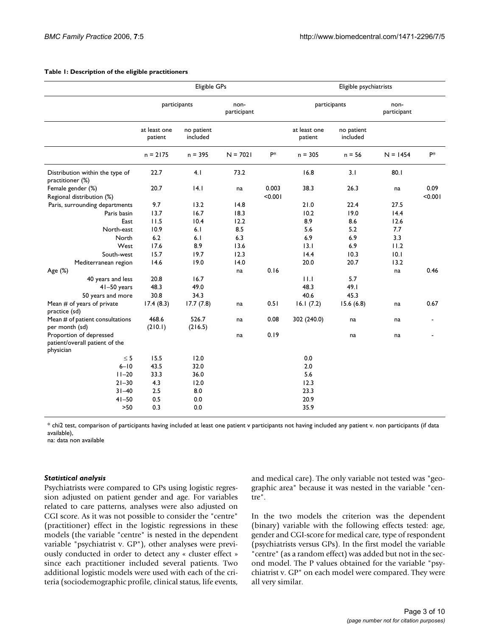|                                                                        | Eligible GPs            |                        |                     | Eligible psychiatrists |                         |                        |                     |            |
|------------------------------------------------------------------------|-------------------------|------------------------|---------------------|------------------------|-------------------------|------------------------|---------------------|------------|
|                                                                        | participants            |                        | non-<br>participant |                        | participants            |                        | non-<br>participant |            |
|                                                                        | at least one<br>patient | no patient<br>included |                     |                        | at least one<br>patient | no patient<br>included |                     |            |
|                                                                        | $n = 2175$              | $n = 395$              | $N = 7021$          | $P^*$                  | $n = 305$               | $n = 56$               | $N = 1454$          | <b>P</b> * |
| Distribution within the type of<br>practitioner (%)                    | 22.7                    | 4.1                    | 73.2                |                        | 16.8                    | 3.1                    | 80.1                |            |
| Female gender (%)                                                      | 20.7                    | 4.1                    | na                  | 0.003                  | 38.3                    | 26.3                   | na                  | 0.09       |
| Regional distribution (%)                                              |                         |                        |                     | < 0.001                |                         |                        |                     | < 0.001    |
| Paris, surrounding departments                                         | 9.7                     | 13.2                   | 14.8                |                        | 21.0                    | 22.4                   | 27.5                |            |
| Paris basin                                                            | 13.7                    | 16.7                   | 18.3                |                        | 10.2                    | 19.0                   | 14.4                |            |
| East                                                                   | 11.5                    | 10.4                   | 12.2                |                        | 8.9                     | 8.6                    | 12.6                |            |
| North-east                                                             | 10.9                    | 6.1                    | 8.5                 |                        | 5.6                     | 5.2                    | 7.7                 |            |
| North                                                                  | 6.2                     | 6.1                    | 6.3                 |                        | 6.9                     | 6.9                    | 3.3                 |            |
| West                                                                   | 17.6                    | 8.9                    | 13.6                |                        | 13.1                    | 6.9                    | 11.2                |            |
| South-west                                                             | 15.7                    | 19.7                   | 12.3                |                        | 14.4                    | 10.3                   | 0.1                 |            |
| Mediterranean region                                                   | 14.6                    | 19.0                   | 14.0                |                        | 20.0                    | 20.7                   | 13.2                |            |
| Age (%)                                                                |                         |                        | na                  | 0.16                   |                         |                        | na                  | 0.46       |
| 40 years and less                                                      | 20.8                    | 16.7                   |                     |                        | 11.1                    | 5.7                    |                     |            |
| $41-50$ years                                                          | 48.3                    | 49.0                   |                     |                        | 48.3                    | 49.1                   |                     |            |
| 50 years and more                                                      | 30.8                    | 34.3                   |                     |                        | 40.6                    | 45.3                   |                     |            |
| Mean # of years of private<br>practice (sd)                            | 17.4(8.3)               | 17.7(7.8)              | na                  | 0.51                   | 16.1(7.2)               | 15.6(6.8)              | na                  | 0.67       |
| Mean # of patient consultations<br>per month (sd)                      | 468.6<br>(210.1)        | 526.7<br>(216.5)       | na                  | 0.08                   | 302 (240.0)             | na                     | na                  |            |
| Proportion of depressed<br>patient/overall patient of the<br>physician |                         |                        | na                  | 0.19                   |                         | na                     | na                  |            |
| $\leq$ 5                                                               | 15.5                    | 12.0                   |                     |                        | 0.0                     |                        |                     |            |
| $6 - 10$                                                               | 43.5                    | 32.0                   |                     |                        | 2.0                     |                        |                     |            |
| $11 - 20$                                                              | 33.3                    | 36.0                   |                     |                        | 5.6                     |                        |                     |            |
| $21 - 30$                                                              | 4.3                     | 12.0                   |                     |                        | 12.3                    |                        |                     |            |
| $31 - 40$                                                              | 2.5                     | 8.0                    |                     |                        | 23.3                    |                        |                     |            |
| $41 - 50$                                                              | 0.5                     | 0.0                    |                     |                        | 20.9                    |                        |                     |            |
| $>50$                                                                  | 0.3                     | 0.0                    |                     |                        | 35.9                    |                        |                     |            |

#### **Table 1: Description of the eligible practitioners**

\* chi2 test, comparison of participants having included at least one patient v participants not having included any patient v. non participants (if data available),

na: data non available

#### *Statistical analysis*

Psychiatrists were compared to GPs using logistic regression adjusted on patient gender and age. For variables related to care patterns, analyses were also adjusted on CGI score. As it was not possible to consider the "centre" (practitioner) effect in the logistic regressions in these models (the variable "centre" is nested in the dependent variable "psychiatrist v. GP"), other analyses were previously conducted in order to detect any « cluster effect » since each practitioner included several patients. Two additional logistic models were used with each of the criteria (sociodemographic profile, clinical status, life events,

and medical care). The only variable not tested was "geographic area" because it was nested in the variable "centre".

In the two models the criterion was the dependent (binary) variable with the following effects tested: age, gender and CGI-score for medical care, type of respondent (psychiatrists versus GPs). In the first model the variable "centre" (as a random effect) was added but not in the second model. The P values obtained for the variable "psychiatrist v. GP" on each model were compared. They were all very similar.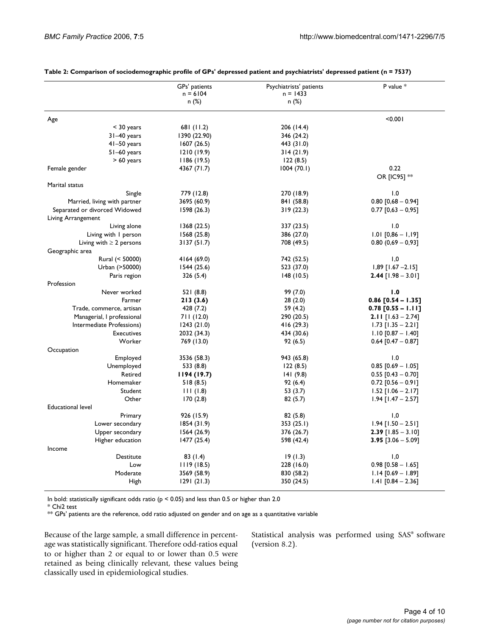|                                    | GPs' patients<br>$n = 6104$ | Psychiatrists' patients<br>$n = 1433$ | P value *                   |
|------------------------------------|-----------------------------|---------------------------------------|-----------------------------|
|                                    | n (%)                       | n (%)                                 |                             |
| Age                                |                             |                                       | < 0.001                     |
| $<$ 30 years                       | 681 (11.2)                  | 206 (14.4)                            |                             |
| $31-40$ years                      | 1390 (22.90)                | 346 (24.2)                            |                             |
| $41-50$ years                      | 1607(26.5)                  | 443 (31.0)                            |                             |
| $51-60$ years                      | 1210(19.9)                  | 314(21.9)                             |                             |
| $> 60$ years                       | 1186(19.5)                  | 122(8.5)                              |                             |
| Female gender                      | 4367 (71.7)                 | 1004(70.1)                            | 0.22                        |
|                                    |                             |                                       | OR [IC95] **                |
| Marital status                     |                             |                                       |                             |
| Single                             | 779 (12.8)                  | 270 (18.9)                            | 1.0                         |
| Married, living with partner       | 3695 (60.9)                 | 841 (58.8)                            | $0.80$ [0,68 - 0.94]        |
| Separated or divorced Widowed      | 1598(26.3)                  | 319(22.3)                             | $0.77$ [0,63 - 0,95]        |
| Living Arrangement                 |                             |                                       |                             |
| Living alone                       | 1368(22.5)                  | 337 (23.5)                            | 1.0                         |
| Living with I person               | 1568(25.8)                  | 386 (27.0)                            | $1.01$ [0,86 - 1,19]        |
| Living with $\geq 2$ persons       | 3137(51.7)                  | 708 (49.5)                            | $0.80(0.69 - 0.93]$         |
| Geographic area<br>Rural (< 50000) | 4164 (69.0)                 | 742 (52.5)                            | 1,0                         |
| Urban (>50000)                     | 1544(25.6)                  | 523 (37.0)                            | $1,89$ [1.67 -2.15]         |
| Paris region                       |                             | 148(10.5)                             | $2.44$ [1.98 – 3.01]        |
| Profession                         | 326 (5.4)                   |                                       |                             |
| Never worked                       | 521 (8.8)                   | 99 (7.0)                              | 1.0                         |
| Farmer                             | 213(3.6)                    | 28(2.0)                               | $0.86$ $[0.54 - 1.35]$      |
| Trade, commerce, artisan           | 428 (7.2)                   | 59 (4.2)                              | $0.78$ [0.55 - 1.11]        |
| Managerial, I professional         | 711 (12.0)                  | 290 (20.5)                            | <b>2.11</b> $[1.63 - 2.74]$ |
| Intermediate Professions)          | 1243(21.0)                  | 416(29.3)                             | $1.73$ [1.35 - 2.21]        |
| <b>Executives</b>                  | 2032 (34.3)                 | 434 (30.6)                            | $1.10$ [0.87 - 1.40]        |
| Worker                             | 769 (13.0)                  | 92(6.5)                               | $0.64$ [0.47 - 0.87]        |
| Occupation                         |                             |                                       |                             |
| Employed                           | 3536 (58.3)                 | 943 (65.8)                            | 1.0                         |
| Unemployed                         | 533 (8.8)                   | 122(8.5)                              | $0.85$ [0.69 - 1.05]        |
| Retired                            | 1194(19.7)                  | 141(9.8)                              | $0.55$ [0.43 - 0.70]        |
| Homemaker                          | 518(8.5)                    | 92(6.4)                               | $0.72$ [0.56 - 0.91]        |
| Student                            | 111(1.8)                    | 53 (3.7)                              | $1.52$ [1.06 – 2.17]        |
| Other                              | 170(2.8)                    | 82(5.7)                               | $1.94$ [1.47 – 2.57]        |
| <b>Educational level</b>           |                             |                                       |                             |
| Primary                            | 926 (15.9)                  | 82(5.8)                               | 1,0                         |
| Lower secondary                    | 1854(31.9)                  | 353(25.1)                             | $1.94$ [1.50 - 2.51]        |
| Upper secondary                    | 1564(26.9)                  | 376 (26.7)                            | $2.39$ [1.85 - 3.10]        |
| Higher education                   | 1477(25.4)                  | 598 (42.4)                            | $3.95$ [3.06 - 5.09]        |
| Income                             |                             |                                       |                             |
| Destitute                          | 83(1.4)                     | 19(1.3)                               | 1,0                         |
| Low                                | 1119(18.5)                  | 228 (16.0)                            | $0.98$ [0.58 - 1.65]        |
| Moderate                           | 3569 (58.9)                 | 830 (58.2)                            | $1.14$ [0.69 - 1.89]        |
| High                               | 1291(21.3)                  | 350 (24.5)                            | $1.41$ [0.84 - 2.36]        |

#### **Table 2: Comparison of sociodemographic profile of GPs' depressed patient and psychiatrists' depressed patient (n = 7537)**

In bold: statistically significant odds ratio ( $p < 0.05$ ) and less than 0.5 or higher than 2.0

\* Chi2 test

\*\* GPs' patients are the reference, odd ratio adjusted on gender and on age as a quantitative variable

Because of the large sample, a small difference in percentage was statistically significant. Therefore odd-ratios equal to or higher than 2 or equal to or lower than 0.5 were retained as being clinically relevant, these values being classically used in epidemiological studies.

Statistical analysis was performed using SAS® software (version 8.2).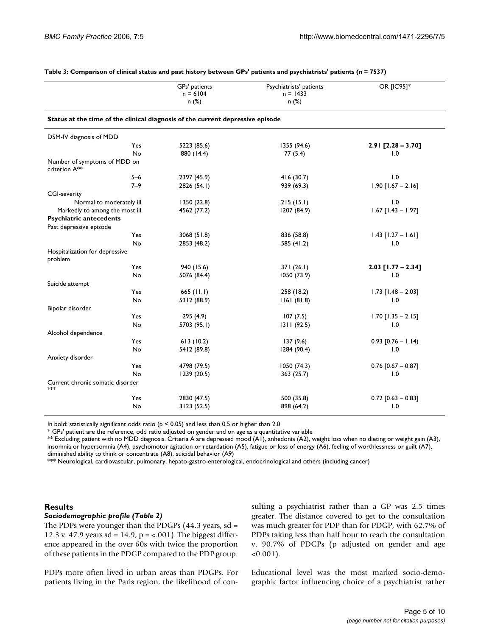|                                                                                | GPs' patients | Psychiatrists' patients | OR [IC95]*           |  |
|--------------------------------------------------------------------------------|---------------|-------------------------|----------------------|--|
|                                                                                | $n = 6104$    | $n = 1433$              |                      |  |
|                                                                                | n (%)         | n(%)                    |                      |  |
| Status at the time of the clinical diagnosis of the current depressive episode |               |                         |                      |  |
| DSM-IV diagnosis of MDD                                                        |               |                         |                      |  |
| Yes                                                                            | 5223 (85.6)   | 1355 (94.6)             | $2.91$ [2.28 - 3.70] |  |
| No                                                                             | 880 (14.4)    | 77(5.4)                 | 1.0                  |  |
| Number of symptoms of MDD on<br>criterion A <sup>**</sup>                      |               |                         |                      |  |
| $5 - 6$                                                                        | 2397 (45.9)   | 416 (30.7)              | 1.0                  |  |
| $7 - 9$                                                                        | 2826 (54.1)   | 939 (69.3)              | $1.90$ [1.67 - 2.16] |  |
| <b>CGI-severity</b>                                                            |               |                         |                      |  |
| Normal to moderately ill                                                       | 1350 (22.8)   | 215(15.1)               | 1.0                  |  |
| Markedly to among the most ill                                                 | 4562 (77.2)   | 1207 (84.9)             | $1.67$ [1.43 - 1.97] |  |
| <b>Psychiatric antecedents</b>                                                 |               |                         |                      |  |
| Past depressive episode                                                        |               |                         |                      |  |
| Yes                                                                            | 3068 (51.8)   | 836 (58.8)              | $1.43$ [1.27 - 1.61] |  |
| No                                                                             | 2853 (48.2)   | 585 (41.2)              | 1.0                  |  |
| Hospitalization for depressive<br>problem                                      |               |                         |                      |  |
| Yes                                                                            | 940 (15.6)    | 371(26.1)               | $2.03$ [1.77 - 2.34] |  |
| No                                                                             | 5076 (84.4)   | 1050 (73.9)             | 1.0                  |  |
| Suicide attempt                                                                |               |                         |                      |  |
| Yes                                                                            | 665 $(11.1)$  | 258 (18.2)              | $1.73$ [1.48 - 2.03] |  |
| No                                                                             | 5312 (88.9)   | 1161(81.8)              | 1.0                  |  |
| Bipolar disorder                                                               |               |                         |                      |  |
| Yes                                                                            | 295 (4.9)     | 107(7.5)                | $1.70$ [1.35 - 2.15] |  |
| No                                                                             | 5703 (95.1)   | 1311(92.5)              | 1.0                  |  |
| Alcohol dependence                                                             |               |                         |                      |  |
| Yes                                                                            | 613(10.2)     | 137(9.6)                | $0.93$ [0.76 - 1.14) |  |
| No                                                                             | 5412 (89.8)   | 1284 (90.4)             | 1.0                  |  |
| Anxiety disorder                                                               |               |                         |                      |  |
| Yes                                                                            | 4798 (79.5)   | 1050(74.3)              | $0.76$ [0.67 - 0.87] |  |
| No                                                                             | 1239 (20.5)   | 363(25.7)               | 1.0                  |  |
| Current chronic somatic disorder<br>$*$                                        |               |                         |                      |  |
| Yes                                                                            | 2830 (47.5)   | 500 (35.8)              | $0.72$ [0.63 - 0.83] |  |
| No                                                                             | 3123 (52.5)   | 898 (64.2)              | 1.0                  |  |

#### **Table 3: Comparison of clinical status and past history between GPs' patients and psychiatrists' patients (n = 7537)**

In bold: statistically significant odds ratio ( $p < 0.05$ ) and less than 0.5 or higher than 2.0

\* GPs' patient are the reference, odd ratio adjusted on gender and on age as a quantitative variable

\*\* Excluding patient with no MDD diagnosis. Criteria A are depressed mood (A1), anhedonia (A2), weight loss when no dieting or weight gain (A3), insomnia or hypersomnia (A4), psychomotor agitation or retardation (A5), fatigue or loss of energy (A6), feeling of worthlessness or guilt (A7), diminished ability to think or concentrate (A8), suicidal behavior (A9)

\*\*\* Neurological, cardiovascular, pulmonary, hepato-gastro-enterological, endocrinological and others (including cancer)

#### **Results**

#### *Sociodemographic profile (Table 2)*

The PDPs were younger than the PDGPs (44.3 years, sd = 12.3 v. 47.9 years sd = 14.9,  $p = < .001$ ). The biggest difference appeared in the over 60s with twice the proportion of these patients in the PDGP compared to the PDP group.

PDPs more often lived in urban areas than PDGPs. For patients living in the Paris region, the likelihood of consulting a psychiatrist rather than a GP was 2.5 times greater. The distance covered to get to the consultation was much greater for PDP than for PDGP, with 62.7% of PDPs taking less than half hour to reach the consultation v. 90.7% of PDGPs (p adjusted on gender and age  $< 0.001$ ).

Educational level was the most marked socio-demographic factor influencing choice of a psychiatrist rather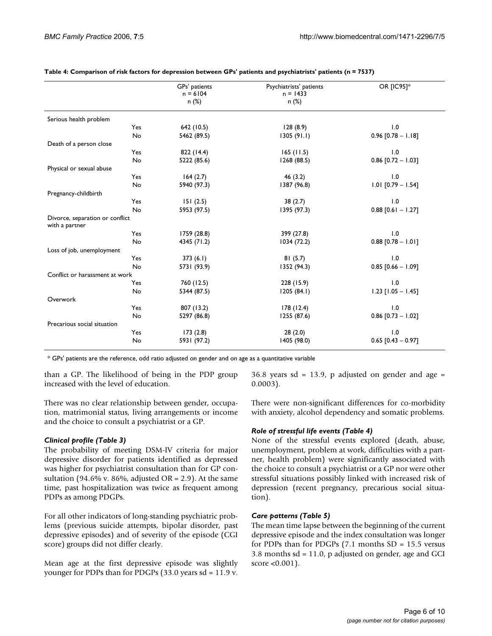|                                                   | GPs' patients | Psychiatrists' patients | <b>OR [IC95]*</b>    |
|---------------------------------------------------|---------------|-------------------------|----------------------|
|                                                   | $n = 6104$    | $n = 1433$              |                      |
|                                                   | n (%)         | n (%)                   |                      |
| Serious health problem                            |               |                         |                      |
| Yes                                               | 642 (10.5)    | 128(8.9)                | 1.0                  |
| No                                                | 5462 (89.5)   | 1305(91.1)              | $0.96$ [0.78 - 1.18] |
| Death of a person close                           |               |                         |                      |
| Yes                                               | 822 (14.4)    | 165(11.5)               | 1.0                  |
| No                                                | 5222 (85.6)   | 1268 (88.5)             | $0.86$ [0.72 - 1.03] |
| Physical or sexual abuse                          |               |                         |                      |
| Yes                                               | 164(2.7)      | 46(3.2)                 | 1.0                  |
| No                                                | 5940 (97.3)   | 1387 (96.8)             | $1.01$ [0.79 - 1.54] |
| Pregnancy-childbirth                              |               |                         |                      |
| Yes                                               | 151(2.5)      | 38(2.7)                 | 1.0                  |
| No                                                | 5953 (97.5)   | 1395 (97.3)             | $0.88$ [0.61 - 1.27] |
| Divorce, separation or conflict<br>with a partner |               |                         |                      |
| Yes                                               | 1759 (28.8)   | 399 (27.8)              | 1.0                  |
| No                                                | 4345 (71.2)   | 1034(72.2)              | $0.88$ [0.78 - 1.01] |
| Loss of job, unemployment                         |               |                         |                      |
| Yes                                               | 373(6.1)      | 81(5.7)                 | 1.0                  |
| No                                                | 5731 (93.9)   | 1352 (94.3)             | $0.85$ [0.66 - 1.09] |
| Conflict or harassment at work                    |               |                         |                      |
| Yes                                               | 760 (12.5)    | 228 (15.9)              | 1.0                  |
| No                                                | 5344 (87.5)   | 1205(84.1)              | $1.23$ [1.05 - 1.45] |
| Overwork                                          |               |                         |                      |
| Yes                                               | 807 (13.2)    | 178(12.4)               | 1.0                  |
| No                                                | 5297 (86.8)   | 1255 (87.6)             | $0.86$ [0.73 - 1.02] |
| Precarious social situation                       |               |                         |                      |
| Yes                                               | 173(2.8)      | 28(2.0)                 | 1.0                  |
| No                                                | 5931 (97.2)   | 1405 (98.0)             | $0.65$ [0.43 - 0.97] |

**Table 4: Comparison of risk factors for depression between GPs' patients and psychiatrists' patients (n = 7537)**

\* GPs' patients are the reference, odd ratio adjusted on gender and on age as a quantitative variable

than a GP. The likelihood of being in the PDP group increased with the level of education.

 $36.8$  years sd = 13.9, p adjusted on gender and age = 0.0003).

There was no clear relationship between gender, occupation, matrimonial status, living arrangements or income and the choice to consult a psychiatrist or a GP.

## *Clinical profile (Table 3)*

The probability of meeting DSM-IV criteria for major depressive disorder for patients identified as depressed was higher for psychiatrist consultation than for GP consultation (94.6% v. 86%, adjusted OR = 2.9). At the same time, past hospitalization was twice as frequent among PDPs as among PDGPs.

For all other indicators of long-standing psychiatric problems (previous suicide attempts, bipolar disorder, past depressive episodes) and of severity of the episode (CGI score) groups did not differ clearly.

Mean age at the first depressive episode was slightly younger for PDPs than for PDGPs (33.0 years sd = 11.9 v.

There were non-significant differences for co-morbidity with anxiety, alcohol dependency and somatic problems.

## *Role of stressful life events (Table 4)*

None of the stressful events explored (death, abuse, unemployment, problem at work, difficulties with a partner, health problem) were significantly associated with the choice to consult a psychiatrist or a GP nor were other stressful situations possibly linked with increased risk of depression (recent pregnancy, precarious social situation).

## *Care patterns (Table 5)*

The mean time lapse between the beginning of the current depressive episode and the index consultation was longer for PDPs than for PDGPs  $(7.1 \text{ months } SD = 15.5 \text{ versus})$ 3.8 months sd = 11.0, p adjusted on gender, age and GCI score <0.001).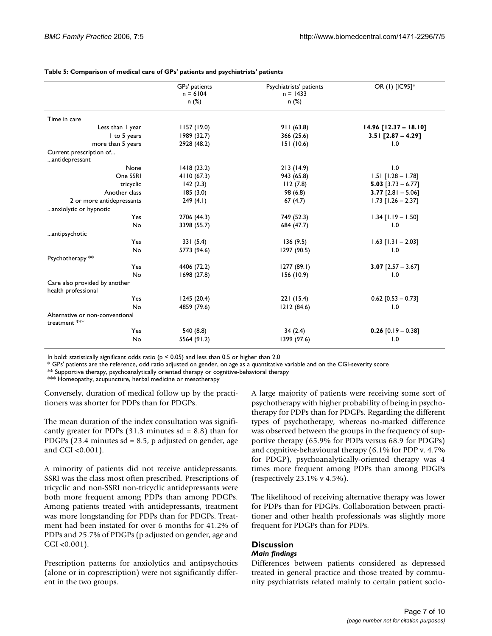|                                                      | GPs' patients | Psychiatrists' patients | OR (1) [IC95]*            |
|------------------------------------------------------|---------------|-------------------------|---------------------------|
|                                                      | $n = 6104$    | $n = 1433$              |                           |
|                                                      | n(%)          | n (%)                   |                           |
|                                                      |               |                         |                           |
| Time in care                                         |               |                         |                           |
| Less than I year                                     | 1157(19.0)    | 911(63.8)               | $14.96$ $[12.37 - 18.10]$ |
| I to 5 years                                         | 1989 (32.7)   | 366(25.6)               | 3.51 $[2.87 - 4.29]$      |
| more than 5 years                                    | 2928 (48.2)   | 151(10.6)               | 1.0                       |
| Current prescription of<br>antidepressant            |               |                         |                           |
| None                                                 | 1418 (23.2)   | 213(14.9)               | 1.0                       |
| One SSRI                                             | 4110 (67.3)   | 943 (65.8)              | $1.51$ $[1.28 - 1.78]$    |
| tricyclic                                            | 142(2.3)      | 112(7.8)                | 5.03 $[3.73 - 6.77]$      |
| Another class                                        | 185(3.0)      | 98 (6.8)                | 3.77 $[2.81 - 5.06]$      |
| 2 or more antidepressants                            | 249(4.1)      | 67(4.7)                 | $1.73$ [1.26 - 2.37]      |
| anxiolytic or hypnotic                               |               |                         |                           |
| Yes                                                  | 2706 (44.3)   | 749 (52.3)              | $1.34$ [1.19 - 1.50]      |
| No                                                   | 3398 (55.7)   | 684 (47.7)              | 1.0                       |
| antipsychotic                                        |               |                         |                           |
| Yes                                                  | 331(5.4)      | 136(9.5)                | $1.63$ [1.31 - 2.03]      |
| No                                                   | 5773 (94.6)   | 1297 (90.5)             | 1.0                       |
| Psychotherapy **                                     |               |                         |                           |
| Yes                                                  | 4406 (72.2)   | 1277(89.1)              | 3.07 $[2.57 - 3.67]$      |
| No                                                   | 1698 (27.8)   | 156(10.9)               | 1.0                       |
| Care also provided by another<br>health professional |               |                         |                           |
| Yes                                                  | 1245(20.4)    | 221(15.4)               | $0.62$ [0.53 - 0.73]      |
| No                                                   | 4859 (79.6)   | 1212(84.6)              | 1.0                       |
| Alternative or non-conventional<br>treatment ***     |               |                         |                           |
| Yes                                                  | 540 (8.8)     | 34(2.4)                 | $0.26$ [0.19 - 0.38]      |
| No                                                   | 5564 (91.2)   | 1399 (97.6)             | 1.0                       |

#### **Table 5: Comparison of medical care of GPs' patients and psychiatrists' patients**

In bold: statistically significant odds ratio ( $p < 0.05$ ) and less than 0.5 or higher than 2.0

\* GPs' patients are the reference, odd ratio adjusted on gender, on age as a quantitative variable and on the CGI-severity score

\*\* Supportive therapy, psychoanalytically oriented therapy or cognitive-behavioral therapy

\*\*\* Homeopathy, acupuncture, herbal medicine or mesotherapy

Conversely, duration of medical follow up by the practitioners was shorter for PDPs than for PDGPs.

The mean duration of the index consultation was significantly greater for PDPs  $(31.3 \text{ minutes sd} = 8.8)$  than for PDGPs (23.4 minutes  $sd = 8.5$ , p adjusted on gender, age and CGI <0.001).

A minority of patients did not receive antidepressants. SSRI was the class most often prescribed. Prescriptions of tricyclic and non-SSRI non-tricyclic antidepressants were both more frequent among PDPs than among PDGPs. Among patients treated with antidepressants, treatment was more longstanding for PDPs than for PDGPs. Treatment had been instated for over 6 months for 41.2% of PDPs and 25.7% of PDGPs (p adjusted on gender, age and  $CGI < 0.001$ ).

Prescription patterns for anxiolytics and antipsychotics (alone or in coprescription) were not significantly different in the two groups.

A large majority of patients were receiving some sort of psychotherapy with higher probability of being in psychotherapy for PDPs than for PDGPs. Regarding the different types of psychotherapy, whereas no-marked difference was observed between the groups in the frequency of supportive therapy (65.9% for PDPs versus 68.9 for PDGPs) and cognitive-behavioural therapy (6.1% for PDP v. 4.7% for PDGP), psychoanalytically-oriented therapy was 4 times more frequent among PDPs than among PDGPs (respectively 23.1% v 4.5%).

The likelihood of receiving alternative therapy was lower for PDPs than for PDGPs. Collaboration between practitioner and other health professionals was slightly more frequent for PDGPs than for PDPs.

## **Discussion**

## *Main findings*

Differences between patients considered as depressed treated in general practice and those treated by community psychiatrists related mainly to certain patient socio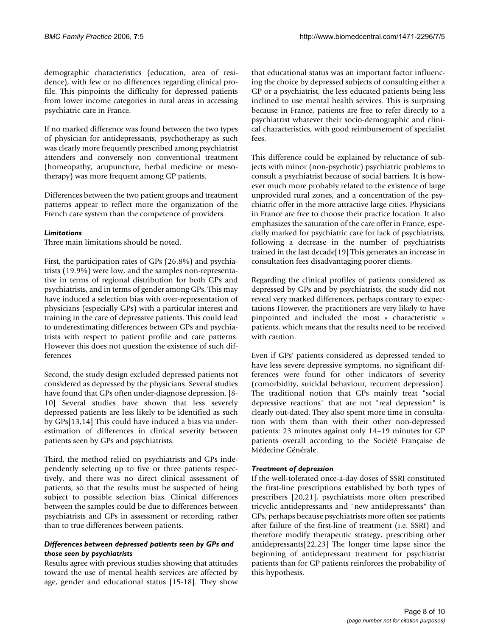demographic characteristics (education, area of residence), with few or no differences regarding clinical profile. This pinpoints the difficulty for depressed patients from lower income categories in rural areas in accessing psychiatric care in France.

If no marked difference was found between the two types of physician for antidepressants, psychotherapy as such was clearly more frequently prescribed among psychiatrist attenders and conversely non conventional treatment (homeopathy, acupuncture, herbal medicine or mesotherapy) was more frequent among GP patients.

Differences between the two patient groups and treatment patterns appear to reflect more the organization of the French care system than the competence of providers.

#### *Limitations*

Three main limitations should be noted.

First, the participation rates of GPs (26.8%) and psychiatrists (19.9%) were low, and the samples non-representative in terms of regional distribution for both GPs and psychiatrists, and in terms of gender among GPs. This may have induced a selection bias with over-representation of physicians (especially GPs) with a particular interest and training in the care of depressive patients. This could lead to underestimating differences between GPs and psychiatrists with respect to patient profile and care patterns. However this does not question the existence of such differences

Second, the study design excluded depressed patients not considered as depressed by the physicians. Several studies have found that GPs often under-diagnose depression. [8- 10] Several studies have shown that less severely depressed patients are less likely to be identified as such by GPs[13,14] This could have induced a bias via underestimation of differences in clinical severity between patients seen by GPs and psychiatrists.

Third, the method relied on psychiatrists and GPs independently selecting up to five or three patients respectively, and there was no direct clinical assessment of patients, so that the results must be suspected of being subject to possible selection bias. Clinical differences between the samples could be due to differences between psychiatrists and GPs in assessment or recording, rather than to true differences between patients.

## *Differences between depressed patients seen by GPs and those seen by psychiatrists*

Results agree with previous studies showing that attitudes toward the use of mental health services are affected by age, gender and educational status [15-18]. They show

that educational status was an important factor influencing the choice by depressed subjects of consulting either a GP or a psychiatrist, the less educated patients being less inclined to use mental health services. This is surprising because in France, patients are free to refer directly to a psychiatrist whatever their socio-demographic and clinical characteristics, with good reimbursement of specialist fees.

This difference could be explained by reluctance of subjects with minor (non-psychotic) psychiatric problems to consult a psychiatrist because of social barriers. It is however much more probably related to the existence of large unprovided rural zones, and a concentration of the psychiatric offer in the more attractive large cities. Physicians in France are free to choose their practice location. It also emphasizes the saturation of the care offer in France, especially marked for psychiatric care for lack of psychiatrists, following a decrease in the number of psychiatrists trained in the last decade[19] This generates an increase in consultation fees disadvantaging poorer clients.

Regarding the clinical profiles of patients considered as depressed by GPs and by psychiatrists, the study did not reveal very marked differences, perhaps contrary to expectations However, the practitioners are very likely to have pinpointed and included the most « characteristic » patients, which means that the results need to be received with caution.

Even if GPs' patients considered as depressed tended to have less severe depressive symptoms, no significant differences were found for other indicators of severity (comorbidity, suicidal behaviour, recurrent depression). The traditional notion that GPs mainly treat "social depressive reactions" that are not "real depression" is clearly out-dated. They also spent more time in consultation with them than with their other non-depressed patients: 23 minutes against only 14–19 minutes for GP patients overall according to the Société Française de Médecine Générale.

## *Treatment of depression*

If the well-tolerated once-a-day doses of SSRI constituted the first-line prescriptions established by both types of prescribers [20,21], psychiatrists more often prescribed tricyclic antidepressants and "new antidepressants" than GPs, perhaps because psychiatrists more often see patients after failure of the first-line of treatment (i.e. SSRI) and therefore modify therapeutic strategy, prescribing other antidepressants[22,23] The longer time lapse since the beginning of antidepressant treatment for psychiatrist patients than for GP patients reinforces the probability of this hypothesis.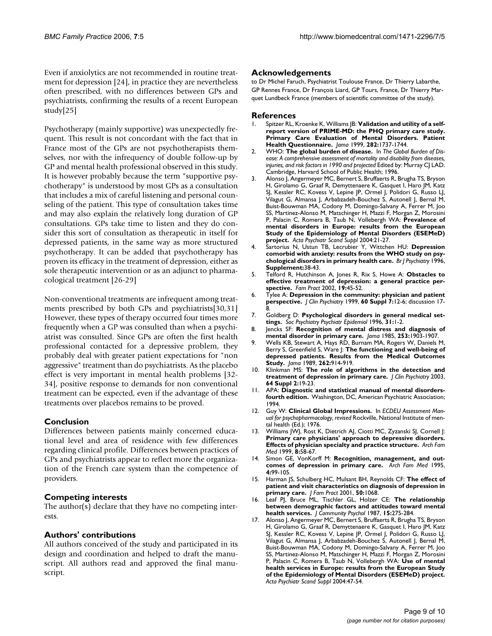Even if anxiolytics are not recommended in routine treatment for depression [24], in practice they are nevertheless often prescribed, with no differences between GPs and psychiatrists, confirming the results of a recent European study[25]

Psychotherapy (mainly supportive) was unexpectedly frequent. This result is not concordant with the fact that in France most of the GPs are not psychotherapists themselves, nor with the infrequency of double follow-up by GP and mental health professional observed in this study. It is however probably because the term "supportive psychotherapy" is understood by most GPs as a consultation that includes a mix of careful listening and personal counseling of the patient. This type of consultation takes time and may also explain the relatively long duration of GP consultations. GPs take time to listen and they do consider this sort of consultation as therapeutic in itself for depressed patients, in the same way as more structured psychotherapy. It can be added that psychotherapy has proven its efficacy in the treatment of depression, either as sole therapeutic intervention or as an adjunct to pharmacological treatment [26-29]

Non-conventional treatments are infrequent among treatments prescribed by both GPs and psychiatrists[30,31] However, these types of therapy occurred four times more frequently when a GP was consulted than when a psychiatrist was consulted. Since GPs are often the first health professional contacted for a depressive problem, they probably deal with greater patient expectations for "non aggressive" treatment than do psychiatrists. As the placebo effect is very important in mental health problems [32- 34], positive response to demands for non conventional treatment can be expected, even if the advantage of these treatments over placebos remains to be proved.

## **Conclusion**

Differences between patients mainly concerned educational level and area of residence with few differences regarding clinical profile. Differences between practices of GPs and psychiatrists appear to reflect more the organization of the French care system than the competence of providers.

## **Competing interests**

The author(s) declare that they have no competing interests.

## **Authors' contributions**

All authors conceived of the study and participated in its design and coordination and helped to draft the manuscript. All authors read and approved the final manuscript.

#### **Acknowledgements**

to Dr Michel Faruch, Psychiatrist Toulouse France, Dr Thierry Labarthe, GP Rennes France, Dr François Liard, GP Tours, France, Dr Thierry Marquet Lundbeck France (members of scientific committee of the study).

#### **References**

- 1. Spitzer RL, Kroenke K, Williams JB: **[Validation and utility of a self](http://www.ncbi.nlm.nih.gov/entrez/query.fcgi?cmd=Retrieve&db=PubMed&dopt=Abstract&list_uids=10568646)report version of PRIME-MD: the PHQ primary care study. [Primary Care Evaluation of Mental Disorders. Patient](http://www.ncbi.nlm.nih.gov/entrez/query.fcgi?cmd=Retrieve&db=PubMed&dopt=Abstract&list_uids=10568646) [Health Questionnaire.](http://www.ncbi.nlm.nih.gov/entrez/query.fcgi?cmd=Retrieve&db=PubMed&dopt=Abstract&list_uids=10568646)** *Jama* 1999, **282:**1737-1744.
- 2. WHO: **The global burden of disease.** In *The Global Burden of Disease: A comprehensive assessment of mortality and disability from diseases, injuries, and risk factors in 1990 and projected* Edited by: Murray CJ LAD. Cambridge, Harvard School of Public Health; 1996.
- 3. Alonso J, Angermeyer MC, Bernert S, Bruffaerts R, Brugha TS, Bryson H, Girolamo G, Graaf R, Demyttenaere K, Gasquet I, Haro JM, Katz SJ, Kessler RC, Kovess V, Lepine JP, Ormel J, Polidori G, Russo LJ, Vilagut G, Almansa J, Arbabzadeh-Bouchez S, Autonell J, Bernal M, Buist-Bouwman MA, Codony M, Domingo-Salvany A, Ferrer M, Joo SS, Martinez-Alonso M, Matschinger H, Mazzi F, Morgan Z, Morosini P, Palacin C, Romera B, Taub N, Vollebergh WA: **[Prevalence of](http://www.ncbi.nlm.nih.gov/entrez/query.fcgi?cmd=Retrieve&db=PubMed&dopt=Abstract&list_uids=15128384) mental disorders in Europe: results from the European [Study of the Epidemiology of Mental Disorders \(ESEMeD\)](http://www.ncbi.nlm.nih.gov/entrez/query.fcgi?cmd=Retrieve&db=PubMed&dopt=Abstract&list_uids=15128384) [project.](http://www.ncbi.nlm.nih.gov/entrez/query.fcgi?cmd=Retrieve&db=PubMed&dopt=Abstract&list_uids=15128384)** *Acta Psychiatr Scand Suppl* 2004:21-27.
- 4. Sartorius N, Ustun TB, Lecrubier Y, Wittchen HU: **Depression comorbid with anxiety: results from the WHO study on psychological disorders in primary health care.** *Br J Psychiatry* 1996, **Supplement:**38-43.
- 5. Telford R, Hutchinson A, Jones R, Rix S, Howe A: **[Obstacles to](http://www.ncbi.nlm.nih.gov/entrez/query.fcgi?cmd=Retrieve&db=PubMed&dopt=Abstract&list_uids=11818349) [effective treatment of depression: a general practice per](http://www.ncbi.nlm.nih.gov/entrez/query.fcgi?cmd=Retrieve&db=PubMed&dopt=Abstract&list_uids=11818349)[spective.](http://www.ncbi.nlm.nih.gov/entrez/query.fcgi?cmd=Retrieve&db=PubMed&dopt=Abstract&list_uids=11818349)** *Fam Pract* 2002, **19:**45-52.
- 6. Tylee A: **[Depression in the community: physician and patient](http://www.ncbi.nlm.nih.gov/entrez/query.fcgi?cmd=Retrieve&db=PubMed&dopt=Abstract&list_uids=10326870) [perspective.](http://www.ncbi.nlm.nih.gov/entrez/query.fcgi?cmd=Retrieve&db=PubMed&dopt=Abstract&list_uids=10326870)** *J Clin Psychiatry* 1999, **60 Suppl 7:**12-6; discussion 17- 8.
- 7. Goldberg D: **[Psychological disorders in general medical set](http://www.ncbi.nlm.nih.gov/entrez/query.fcgi?cmd=Retrieve&db=PubMed&dopt=Abstract&list_uids=8821917)[tings.](http://www.ncbi.nlm.nih.gov/entrez/query.fcgi?cmd=Retrieve&db=PubMed&dopt=Abstract&list_uids=8821917)** *Soc Psychiatry Psychiatr Epidemiol* 1996, **31:**1-2.
- 8. Jencks SF: **[Recognition of mental distress and diagnosis of](http://www.ncbi.nlm.nih.gov/entrez/query.fcgi?cmd=Retrieve&db=PubMed&dopt=Abstract&list_uids=3974079) [mental disorder in primary care.](http://www.ncbi.nlm.nih.gov/entrez/query.fcgi?cmd=Retrieve&db=PubMed&dopt=Abstract&list_uids=3974079)** *Jama* 1985, **253:**1903-1907.
- 9. Wells KB, Stewart A, Hays RD, Burnam MA, Rogers W, Daniels M, Berry S, Greenfield S, Ware J: **[The functioning and well-being of](http://www.ncbi.nlm.nih.gov/entrez/query.fcgi?cmd=Retrieve&db=PubMed&dopt=Abstract&list_uids=2754791) [depressed patients. Results from the Medical Outcomes](http://www.ncbi.nlm.nih.gov/entrez/query.fcgi?cmd=Retrieve&db=PubMed&dopt=Abstract&list_uids=2754791) [Study.](http://www.ncbi.nlm.nih.gov/entrez/query.fcgi?cmd=Retrieve&db=PubMed&dopt=Abstract&list_uids=2754791)** *Jama* 1989, **262:**914-919.
- 10. Klinkman MS: **[The role of algorithms in the detection and](http://www.ncbi.nlm.nih.gov/entrez/query.fcgi?cmd=Retrieve&db=PubMed&dopt=Abstract&list_uids=12625795) [treatment of depression in primary care.](http://www.ncbi.nlm.nih.gov/entrez/query.fcgi?cmd=Retrieve&db=PubMed&dopt=Abstract&list_uids=12625795)** *J Clin Psychiatry* 2003, **64 Suppl 2:**19-23.
- 11. APA: **Diagnostic and statistical manual of mental disordersfourth edition.** Washington, DC, American Psychiatric Association; 1994.
- 12. Guy W: **Clinical Global Impressions.** In *ECDEU Assessment Manual for psychopharmacology, revised* Rockville, National Institute of mental health (Ed.); 1976.
- 13. Williams JWJ, Rost K, Dietrich AJ, Ciotti MC, Zyzanski SJ, Cornell J: **[Primary care physicians' approach to depressive disorders.](http://www.ncbi.nlm.nih.gov/entrez/query.fcgi?cmd=Retrieve&db=PubMed&dopt=Abstract&list_uids=9932074) [Effects of physician specialty and practice structure.](http://www.ncbi.nlm.nih.gov/entrez/query.fcgi?cmd=Retrieve&db=PubMed&dopt=Abstract&list_uids=9932074)** *Arch Fam Med* 1999, **8:**58-67.
- 14. Simon GE, VonKorff M: **[Recognition, management, and out](http://www.ncbi.nlm.nih.gov/entrez/query.fcgi?cmd=Retrieve&db=PubMed&dopt=Abstract&list_uids=7842160)[comes of depression in primary care.](http://www.ncbi.nlm.nih.gov/entrez/query.fcgi?cmd=Retrieve&db=PubMed&dopt=Abstract&list_uids=7842160)** *Arch Fam Med* 1995, **4:**99-105.
- 15. Harman JS, Schulberg HC, Mulsant BH, Reynolds CF: **[The effect of](http://www.ncbi.nlm.nih.gov/entrez/query.fcgi?cmd=Retrieve&db=PubMed&dopt=Abstract&list_uids=11742610) [patient and visit characteristics on diagnosis of depression in](http://www.ncbi.nlm.nih.gov/entrez/query.fcgi?cmd=Retrieve&db=PubMed&dopt=Abstract&list_uids=11742610) [primary care.](http://www.ncbi.nlm.nih.gov/entrez/query.fcgi?cmd=Retrieve&db=PubMed&dopt=Abstract&list_uids=11742610)** *J Fam Pract* 2001, **50:**1068.
- 16. Leaf PJ, Bruce ML, Tischler GL, Holzer CE: **[The relationship](http://www.ncbi.nlm.nih.gov/entrez/query.fcgi?cmd=Retrieve&db=PubMed&dopt=Abstract&list_uids=10281769) [between demographic factors and attitudes toward mental](http://www.ncbi.nlm.nih.gov/entrez/query.fcgi?cmd=Retrieve&db=PubMed&dopt=Abstract&list_uids=10281769) [health services.](http://www.ncbi.nlm.nih.gov/entrez/query.fcgi?cmd=Retrieve&db=PubMed&dopt=Abstract&list_uids=10281769)** *J Community Psychol* 1987, **15:**275-284.
- 17. Alonso J, Angermeyer MC, Bernert S, Bruffaerts R, Brugha TS, Bryson H, Girolamo G, Graaf R, Demyttenaere K, Gasquet I, Haro JM, Katz SJ, Kessler RC, Kovess V, Lepine JP, Ormel J, Polidori G, Russo LJ, Vilagut G, Almansa J, Arbabzadeh-Bouchez S, Autonell J, Bernal M, Buist-Bouwman MA, Codony M, Domingo-Salvany A, Ferrer M, Joo SS, Martinez-Alonso M, Matschinger H, Mazzi F, Morgan Z, Morosini P, Palacin C, Romera B, Taub N, Vollebergh WA: **[Use of mental](http://www.ncbi.nlm.nih.gov/entrez/query.fcgi?cmd=Retrieve&db=PubMed&dopt=Abstract&list_uids=15128387) health services in Europe: results from the European Study [of the Epidemiology of Mental Disorders \(ESEMeD\) project.](http://www.ncbi.nlm.nih.gov/entrez/query.fcgi?cmd=Retrieve&db=PubMed&dopt=Abstract&list_uids=15128387)** *Acta Psychiatr Scand Suppl* 2004:47-54.